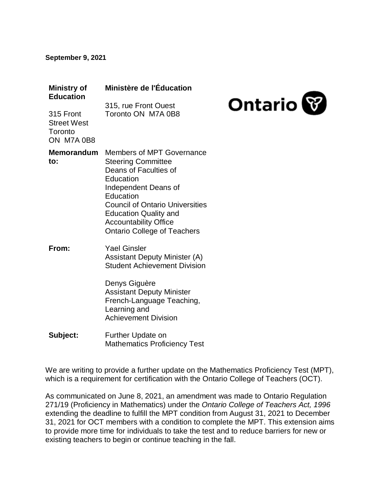#### **September 9, 2021**

| <b>Ministry of</b><br><b>Education</b>                   | Ministère de l'Éducation                                                                                                                                                                                                                                                          |                |
|----------------------------------------------------------|-----------------------------------------------------------------------------------------------------------------------------------------------------------------------------------------------------------------------------------------------------------------------------------|----------------|
| 315 Front<br><b>Street West</b><br>Toronto<br>ON M7A 0B8 | 315, rue Front Ouest<br>Toronto ON M7A 0B8                                                                                                                                                                                                                                        | <b>Ontario</b> |
| <b>Memorandum</b><br>to:                                 | Members of MPT Governance<br><b>Steering Committee</b><br>Deans of Faculties of<br>Education<br>Independent Deans of<br>Education<br><b>Council of Ontario Universities</b><br><b>Education Quality and</b><br><b>Accountability Office</b><br><b>Ontario College of Teachers</b> |                |
| From:                                                    | <b>Yael Ginsler</b><br><b>Assistant Deputy Minister (A)</b><br><b>Student Achievement Division</b><br>Denys Giguère<br><b>Assistant Deputy Minister</b><br>French-Language Teaching,<br>Learning and<br><b>Achievement Division</b>                                               |                |
| Subject:                                                 | Further Update on<br><b>Mathematics Proficiency Test</b>                                                                                                                                                                                                                          |                |

We are writing to provide a further update on the Mathematics Proficiency Test (MPT), which is a requirement for certification with the Ontario College of Teachers (OCT).

As communicated on June 8, 2021, an amendment was made to Ontario Regulation 271/19 (Proficiency in Mathematics) under the *Ontario College of Teachers Act, 1996*  extending the deadline to fulfill the MPT condition from August 31, 2021 to December 31, 2021 for OCT members with a condition to complete the MPT. This extension aims to provide more time for individuals to take the test and to reduce barriers for new or existing teachers to begin or continue teaching in the fall.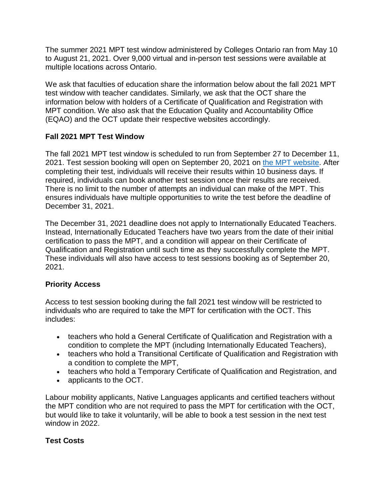The summer 2021 MPT test window administered by Colleges Ontario ran from May 10 to August 21, 2021. Over 9,000 virtual and in-person test sessions were available at multiple locations across Ontario.

We ask that faculties of education share the information below about the fall 2021 MPT test window with teacher candidates. Similarly, we ask that the OCT share the information below with holders of a Certificate of Qualification and Registration with MPT condition. We also ask that the Education Quality and Accountability Office (EQAO) and the OCT update their respective websites accordingly.

### **Fall 2021 MPT Test Window**

The fall 2021 MPT test window is scheduled to run from September 27 to December 11, 2021. Test session booking will open on September 20, 2021 on [the MPT website.](https://mathproficiencytest.ca/) After completing their test, individuals will receive their results within 10 business days. If required, individuals can book another test session once their results are received. There is no limit to the number of attempts an individual can make of the MPT. This ensures individuals have multiple opportunities to write the test before the deadline of December 31, 2021.

The December 31, 2021 deadline does not apply to Internationally Educated Teachers. Instead, Internationally Educated Teachers have two years from the date of their initial certification to pass the MPT, and a condition will appear on their Certificate of Qualification and Registration until such time as they successfully complete the MPT. These individuals will also have access to test sessions booking as of September 20, 2021.

# **Priority Access**

Access to test session booking during the fall 2021 test window will be restricted to individuals who are required to take the MPT for certification with the OCT. This includes:

- teachers who hold a General Certificate of Qualification and Registration with a condition to complete the MPT (including Internationally Educated Teachers),
- teachers who hold a Transitional Certificate of Qualification and Registration with a condition to complete the MPT,
- teachers who hold a Temporary Certificate of Qualification and Registration, and
- applicants to the OCT.

Labour mobility applicants, Native Languages applicants and certified teachers without the MPT condition who are not required to pass the MPT for certification with the OCT, but would like to take it voluntarily, will be able to book a test session in the next test window in 2022.

# **Test Costs**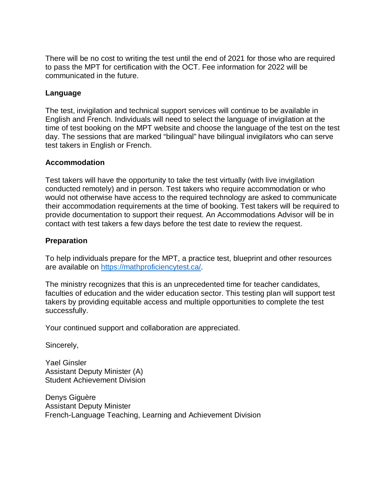There will be no cost to writing the test until the end of 2021 for those who are required to pass the MPT for certification with the OCT. Fee information for 2022 will be communicated in the future.

### **Language**

The test, invigilation and technical support services will continue to be available in English and French. Individuals will need to select the language of invigilation at the time of test booking on the MPT website and choose the language of the test on the test day. The sessions that are marked "bilingual" have bilingual invigilators who can serve test takers in English or French.

#### **Accommodation**

Test takers will have the opportunity to take the test virtually (with live invigilation conducted remotely) and in person. Test takers who require accommodation or who would not otherwise have access to the required technology are asked to communicate their accommodation requirements at the time of booking. Test takers will be required to provide documentation to support their request. An Accommodations Advisor will be in contact with test takers a few days before the test date to review the request.

#### **Preparation**

To help individuals prepare for the MPT, a practice test, blueprint and other resources are available on [https://mathproficiencytest.ca/.](https://mathproficiencytest.ca/)

The ministry recognizes that this is an unprecedented time for teacher candidates, faculties of education and the wider education sector. This testing plan will support test takers by providing equitable access and multiple opportunities to complete the test successfully.

Your continued support and collaboration are appreciated.

Sincerely,

Yael Ginsler Assistant Deputy Minister (A) Student Achievement Division

Denys Giguère Assistant Deputy Minister French-Language Teaching, Learning and Achievement Division